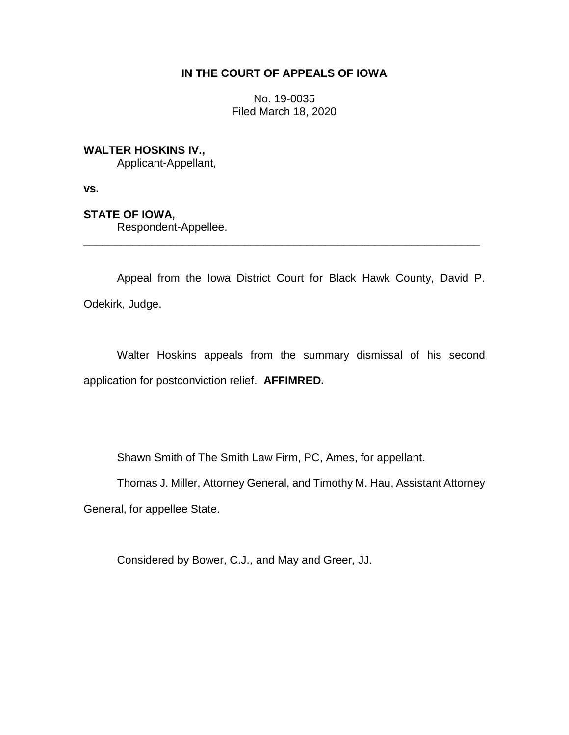# **IN THE COURT OF APPEALS OF IOWA**

No. 19-0035 Filed March 18, 2020

## **WALTER HOSKINS IV.,**

Applicant-Appellant,

**vs.**

# **STATE OF IOWA,**

Respondent-Appellee.

Appeal from the Iowa District Court for Black Hawk County, David P. Odekirk, Judge.

\_\_\_\_\_\_\_\_\_\_\_\_\_\_\_\_\_\_\_\_\_\_\_\_\_\_\_\_\_\_\_\_\_\_\_\_\_\_\_\_\_\_\_\_\_\_\_\_\_\_\_\_\_\_\_\_\_\_\_\_\_\_\_\_

Walter Hoskins appeals from the summary dismissal of his second application for postconviction relief. **AFFIMRED.**

Shawn Smith of The Smith Law Firm, PC, Ames, for appellant.

Thomas J. Miller, Attorney General, and Timothy M. Hau, Assistant Attorney

General, for appellee State.

Considered by Bower, C.J., and May and Greer, JJ.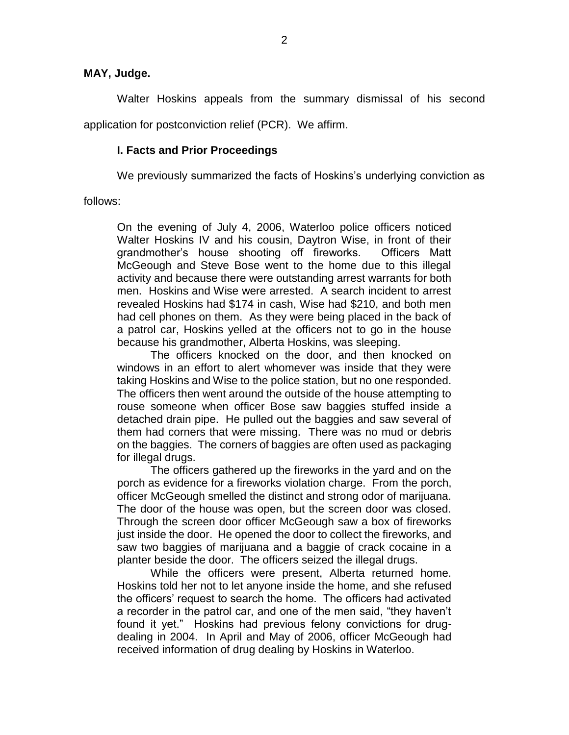### **MAY, Judge.**

Walter Hoskins appeals from the summary dismissal of his second application for postconviction relief (PCR). We affirm.

## **I. Facts and Prior Proceedings**

We previously summarized the facts of Hoskins's underlying conviction as

follows:

On the evening of July 4, 2006, Waterloo police officers noticed Walter Hoskins IV and his cousin, Daytron Wise, in front of their grandmother's house shooting off fireworks. Officers Matt McGeough and Steve Bose went to the home due to this illegal activity and because there were outstanding arrest warrants for both men. Hoskins and Wise were arrested. A search incident to arrest revealed Hoskins had \$174 in cash, Wise had \$210, and both men had cell phones on them. As they were being placed in the back of a patrol car, Hoskins yelled at the officers not to go in the house because his grandmother, Alberta Hoskins, was sleeping.

The officers knocked on the door, and then knocked on windows in an effort to alert whomever was inside that they were taking Hoskins and Wise to the police station, but no one responded. The officers then went around the outside of the house attempting to rouse someone when officer Bose saw baggies stuffed inside a detached drain pipe. He pulled out the baggies and saw several of them had corners that were missing. There was no mud or debris on the baggies. The corners of baggies are often used as packaging for illegal drugs.

The officers gathered up the fireworks in the yard and on the porch as evidence for a fireworks violation charge. From the porch, officer McGeough smelled the distinct and strong odor of marijuana. The door of the house was open, but the screen door was closed. Through the screen door officer McGeough saw a box of fireworks just inside the door. He opened the door to collect the fireworks, and saw two baggies of marijuana and a baggie of crack cocaine in a planter beside the door. The officers seized the illegal drugs.

While the officers were present, Alberta returned home. Hoskins told her not to let anyone inside the home, and she refused the officers' request to search the home. The officers had activated a recorder in the patrol car, and one of the men said, "they haven't found it yet." Hoskins had previous felony convictions for drugdealing in 2004. In April and May of 2006, officer McGeough had received information of drug dealing by Hoskins in Waterloo.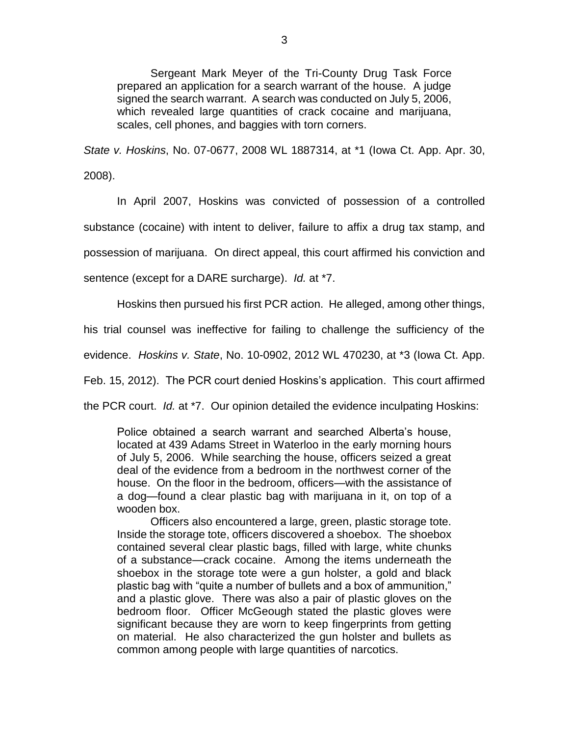Sergeant Mark Meyer of the Tri-County Drug Task Force prepared an application for a search warrant of the house. A judge signed the search warrant. A search was conducted on July 5, 2006, which revealed large quantities of crack cocaine and marijuana, scales, cell phones, and baggies with torn corners.

*State v. Hoskins*, No. 07-0677, 2008 WL 1887314, at \*1 (Iowa Ct. App. Apr. 30, 2008).

In April 2007, Hoskins was convicted of possession of a controlled substance (cocaine) with intent to deliver, failure to affix a drug tax stamp, and possession of marijuana. On direct appeal, this court affirmed his conviction and sentence (except for a DARE surcharge). *Id.* at \*7.

Hoskins then pursued his first PCR action. He alleged, among other things,

his trial counsel was ineffective for failing to challenge the sufficiency of the

evidence. *Hoskins v. State*, No. 10-0902, 2012 WL 470230, at \*3 (Iowa Ct. App.

Feb. 15, 2012). The PCR court denied Hoskins's application. This court affirmed

the PCR court. *Id.* at \*7. Our opinion detailed the evidence inculpating Hoskins:

Police obtained a search warrant and searched Alberta's house, located at 439 Adams Street in Waterloo in the early morning hours of July 5, 2006. While searching the house, officers seized a great deal of the evidence from a bedroom in the northwest corner of the house. On the floor in the bedroom, officers—with the assistance of a dog—found a clear plastic bag with marijuana in it, on top of a wooden box.

Officers also encountered a large, green, plastic storage tote. Inside the storage tote, officers discovered a shoebox. The shoebox contained several clear plastic bags, filled with large, white chunks of a substance—crack cocaine. Among the items underneath the shoebox in the storage tote were a gun holster, a gold and black plastic bag with "quite a number of bullets and a box of ammunition," and a plastic glove. There was also a pair of plastic gloves on the bedroom floor. Officer McGeough stated the plastic gloves were significant because they are worn to keep fingerprints from getting on material. He also characterized the gun holster and bullets as common among people with large quantities of narcotics.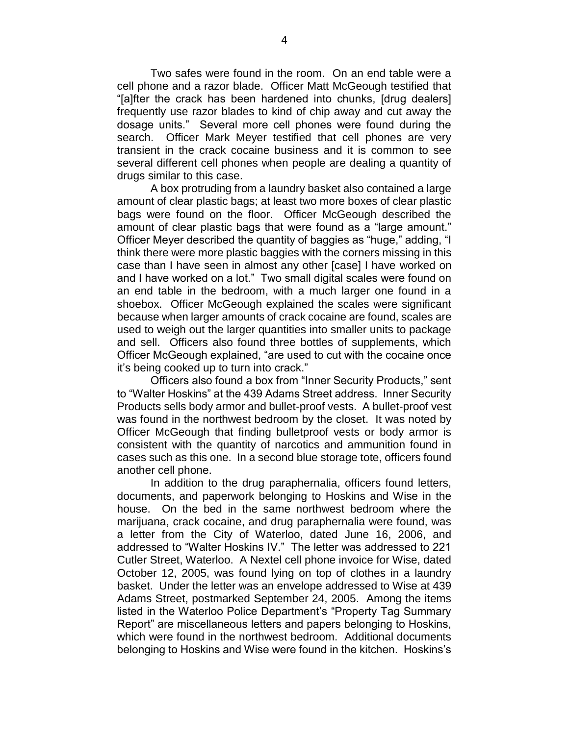Two safes were found in the room. On an end table were a cell phone and a razor blade. Officer Matt McGeough testified that "[a]fter the crack has been hardened into chunks, [drug dealers] frequently use razor blades to kind of chip away and cut away the dosage units." Several more cell phones were found during the search. Officer Mark Meyer testified that cell phones are very transient in the crack cocaine business and it is common to see several different cell phones when people are dealing a quantity of drugs similar to this case.

A box protruding from a laundry basket also contained a large amount of clear plastic bags; at least two more boxes of clear plastic bags were found on the floor. Officer McGeough described the amount of clear plastic bags that were found as a "large amount." Officer Meyer described the quantity of baggies as "huge," adding, "I think there were more plastic baggies with the corners missing in this case than I have seen in almost any other [case] I have worked on and I have worked on a lot." Two small digital scales were found on an end table in the bedroom, with a much larger one found in a shoebox. Officer McGeough explained the scales were significant because when larger amounts of crack cocaine are found, scales are used to weigh out the larger quantities into smaller units to package and sell. Officers also found three bottles of supplements, which Officer McGeough explained, "are used to cut with the cocaine once it's being cooked up to turn into crack."

Officers also found a box from "Inner Security Products," sent to "Walter Hoskins" at the 439 Adams Street address. Inner Security Products sells body armor and bullet-proof vests. A bullet-proof vest was found in the northwest bedroom by the closet. It was noted by Officer McGeough that finding bulletproof vests or body armor is consistent with the quantity of narcotics and ammunition found in cases such as this one. In a second blue storage tote, officers found another cell phone.

In addition to the drug paraphernalia, officers found letters, documents, and paperwork belonging to Hoskins and Wise in the house. On the bed in the same northwest bedroom where the marijuana, crack cocaine, and drug paraphernalia were found, was a letter from the City of Waterloo, dated June 16, 2006, and addressed to "Walter Hoskins IV." The letter was addressed to 221 Cutler Street, Waterloo. A Nextel cell phone invoice for Wise, dated October 12, 2005, was found lying on top of clothes in a laundry basket. Under the letter was an envelope addressed to Wise at 439 Adams Street, postmarked September 24, 2005. Among the items listed in the Waterloo Police Department's "Property Tag Summary Report" are miscellaneous letters and papers belonging to Hoskins, which were found in the northwest bedroom. Additional documents belonging to Hoskins and Wise were found in the kitchen. Hoskins's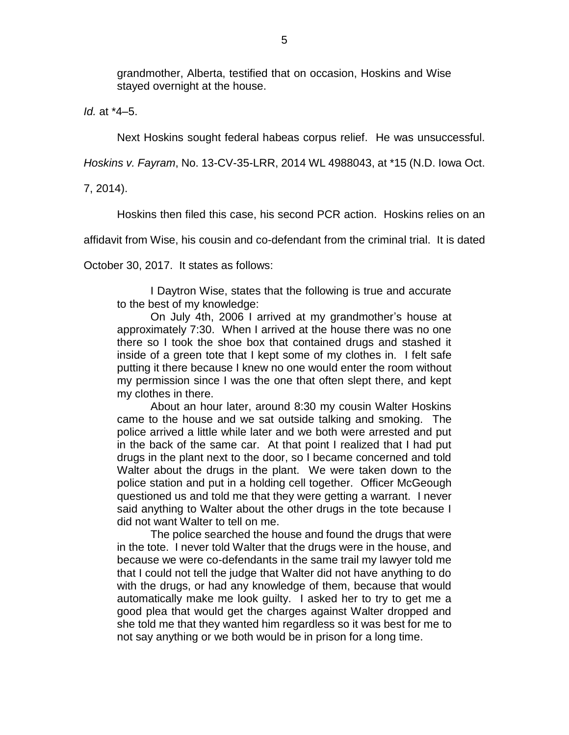grandmother, Alberta, testified that on occasion, Hoskins and Wise stayed overnight at the house.

*Id.* at \*4–5.

Next Hoskins sought federal habeas corpus relief. He was unsuccessful.

*Hoskins v. Fayram*, No. 13-CV-35-LRR, 2014 WL 4988043, at \*15 (N.D. Iowa Oct.

7, 2014).

Hoskins then filed this case, his second PCR action. Hoskins relies on an

affidavit from Wise, his cousin and co-defendant from the criminal trial. It is dated

October 30, 2017. It states as follows:

I Daytron Wise, states that the following is true and accurate to the best of my knowledge:

On July 4th, 2006 I arrived at my grandmother's house at approximately 7:30. When I arrived at the house there was no one there so I took the shoe box that contained drugs and stashed it inside of a green tote that I kept some of my clothes in. I felt safe putting it there because I knew no one would enter the room without my permission since I was the one that often slept there, and kept my clothes in there.

About an hour later, around 8:30 my cousin Walter Hoskins came to the house and we sat outside talking and smoking. The police arrived a little while later and we both were arrested and put in the back of the same car. At that point I realized that I had put drugs in the plant next to the door, so I became concerned and told Walter about the drugs in the plant. We were taken down to the police station and put in a holding cell together. Officer McGeough questioned us and told me that they were getting a warrant. I never said anything to Walter about the other drugs in the tote because I did not want Walter to tell on me.

The police searched the house and found the drugs that were in the tote. I never told Walter that the drugs were in the house, and because we were co-defendants in the same trail my lawyer told me that I could not tell the judge that Walter did not have anything to do with the drugs, or had any knowledge of them, because that would automatically make me look guilty. I asked her to try to get me a good plea that would get the charges against Walter dropped and she told me that they wanted him regardless so it was best for me to not say anything or we both would be in prison for a long time.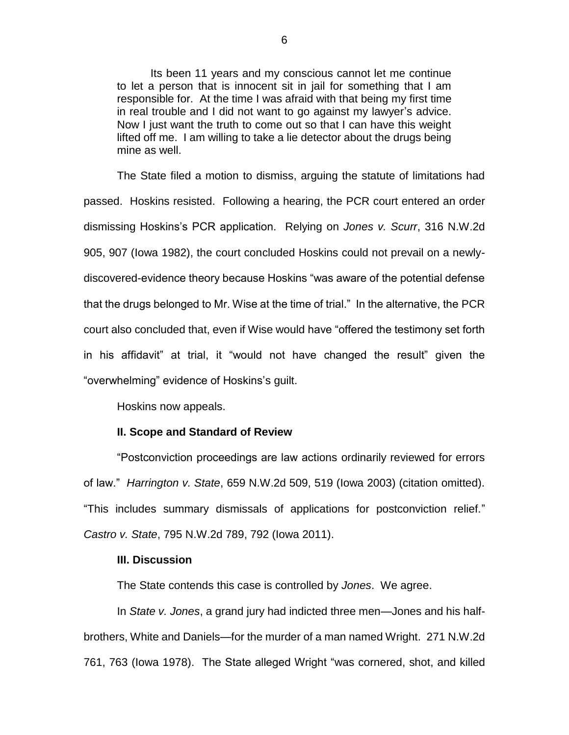Its been 11 years and my conscious cannot let me continue to let a person that is innocent sit in jail for something that I am responsible for. At the time I was afraid with that being my first time in real trouble and I did not want to go against my lawyer's advice. Now I just want the truth to come out so that I can have this weight lifted off me. I am willing to take a lie detector about the drugs being mine as well.

The State filed a motion to dismiss, arguing the statute of limitations had passed. Hoskins resisted. Following a hearing, the PCR court entered an order dismissing Hoskins's PCR application. Relying on *Jones v. Scurr*, 316 N.W.2d 905, 907 (Iowa 1982), the court concluded Hoskins could not prevail on a newlydiscovered-evidence theory because Hoskins "was aware of the potential defense that the drugs belonged to Mr. Wise at the time of trial." In the alternative, the PCR court also concluded that, even if Wise would have "offered the testimony set forth in his affidavit" at trial, it "would not have changed the result" given the "overwhelming" evidence of Hoskins's guilt.

Hoskins now appeals.

### **II. Scope and Standard of Review**

"Postconviction proceedings are law actions ordinarily reviewed for errors of law." *Harrington v. State*, 659 N.W.2d 509, 519 (Iowa 2003) (citation omitted). "This includes summary dismissals of applications for postconviction relief." *Castro v. State*, 795 N.W.2d 789, 792 (Iowa 2011).

#### **III. Discussion**

The State contends this case is controlled by *Jones*. We agree.

In *State v. Jones*, a grand jury had indicted three men—Jones and his halfbrothers, White and Daniels—for the murder of a man named Wright. 271 N.W.2d 761, 763 (Iowa 1978). The State alleged Wright "was cornered, shot, and killed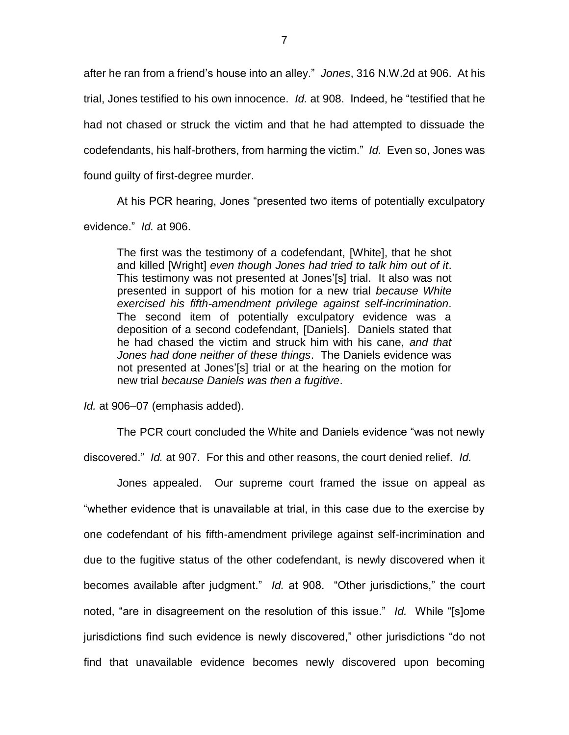after he ran from a friend's house into an alley." *Jones*, 316 N.W.2d at 906. At his trial, Jones testified to his own innocence. *Id.* at 908. Indeed, he "testified that he had not chased or struck the victim and that he had attempted to dissuade the codefendants, his half-brothers, from harming the victim." *Id.* Even so, Jones was found guilty of first-degree murder.

At his PCR hearing, Jones "presented two items of potentially exculpatory evidence." *Id.* at 906.

The first was the testimony of a codefendant, [White], that he shot and killed [Wright] *even though Jones had tried to talk him out of it*. This testimony was not presented at Jones'[s] trial. It also was not presented in support of his motion for a new trial *because White exercised his fifth-amendment privilege against self-incrimination*. The second item of potentially exculpatory evidence was a deposition of a second codefendant, [Daniels]. Daniels stated that he had chased the victim and struck him with his cane, *and that Jones had done neither of these things*. The Daniels evidence was not presented at Jones'[s] trial or at the hearing on the motion for new trial *because Daniels was then a fugitive*.

*Id.* at 906–07 (emphasis added).

The PCR court concluded the White and Daniels evidence "was not newly discovered." *Id.* at 907. For this and other reasons, the court denied relief. *Id.*

Jones appealed. Our supreme court framed the issue on appeal as "whether evidence that is unavailable at trial, in this case due to the exercise by one codefendant of his fifth-amendment privilege against self-incrimination and due to the fugitive status of the other codefendant, is newly discovered when it becomes available after judgment." *Id.* at 908. "Other jurisdictions," the court noted, "are in disagreement on the resolution of this issue." *Id.* While "[s]ome jurisdictions find such evidence is newly discovered," other jurisdictions "do not find that unavailable evidence becomes newly discovered upon becoming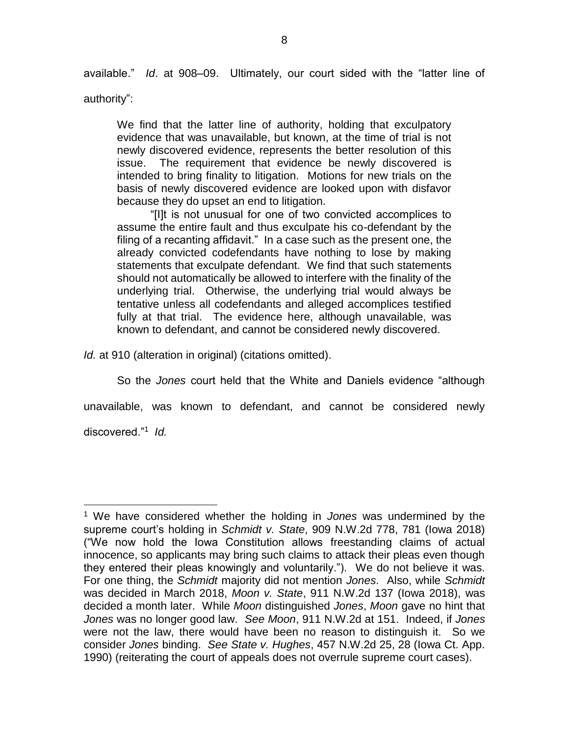available." *Id*. at 908–09. Ultimately, our court sided with the "latter line of

authority":

We find that the latter line of authority, holding that exculpatory evidence that was unavailable, but known, at the time of trial is not newly discovered evidence, represents the better resolution of this issue. The requirement that evidence be newly discovered is intended to bring finality to litigation. Motions for new trials on the basis of newly discovered evidence are looked upon with disfavor because they do upset an end to litigation.

"[I]t is not unusual for one of two convicted accomplices to assume the entire fault and thus exculpate his co-defendant by the filing of a recanting affidavit." In a case such as the present one, the already convicted codefendants have nothing to lose by making statements that exculpate defendant. We find that such statements should not automatically be allowed to interfere with the finality of the underlying trial. Otherwise, the underlying trial would always be tentative unless all codefendants and alleged accomplices testified fully at that trial. The evidence here, although unavailable, was known to defendant, and cannot be considered newly discovered.

*Id.* at 910 (alteration in original) (citations omitted).

So the *Jones* court held that the White and Daniels evidence "although

unavailable, was known to defendant, and cannot be considered newly

discovered."<sup>1</sup> *Id.*

 $\overline{a}$ 

<sup>1</sup> We have considered whether the holding in *Jones* was undermined by the supreme court's holding in *Schmidt v. State*, 909 N.W.2d 778, 781 (Iowa 2018) ("We now hold the Iowa Constitution allows freestanding claims of actual innocence, so applicants may bring such claims to attack their pleas even though they entered their pleas knowingly and voluntarily."). We do not believe it was. For one thing, the *Schmidt* majority did not mention *Jones*. Also, while *Schmidt* was decided in March 2018, *Moon v. State*, 911 N.W.2d 137 (Iowa 2018), was decided a month later. While *Moon* distinguished *Jones*, *Moon* gave no hint that *Jones* was no longer good law. *See Moon*, 911 N.W.2d at 151. Indeed, if *Jones* were not the law, there would have been no reason to distinguish it. So we consider *Jones* binding. *See State v. Hughes*, 457 N.W.2d 25, 28 (Iowa Ct. App. 1990) (reiterating the court of appeals does not overrule supreme court cases).